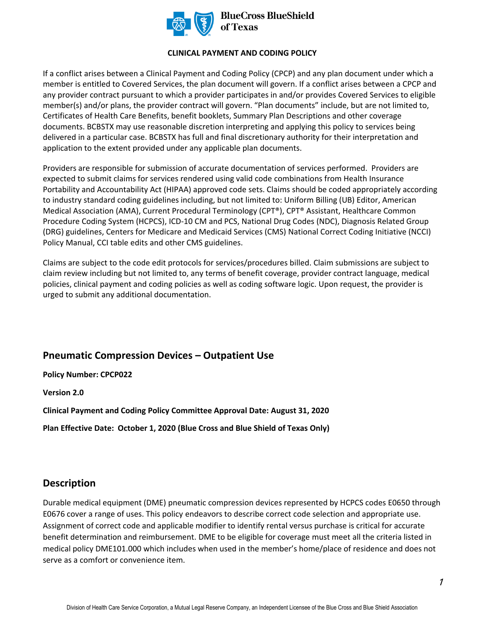

**BlueCross BlueShield** of Texas

#### **CLINICAL PAYMENT AND CODING POLICY**

If a conflict arises between a Clinical Payment and Coding Policy (CPCP) and any plan document under which a member is entitled to Covered Services, the plan document will govern. If a conflict arises between a CPCP and any provider contract pursuant to which a provider participates in and/or provides Covered Services to eligible member(s) and/or plans, the provider contract will govern. "Plan documents" include, but are not limited to, Certificates of Health Care Benefits, benefit booklets, Summary Plan Descriptions and other coverage documents. BCBSTX may use reasonable discretion interpreting and applying this policy to services being delivered in a particular case. BCBSTX has full and final discretionary authority for their interpretation and application to the extent provided under any applicable plan documents.

Providers are responsible for submission of accurate documentation of services performed. Providers are expected to submit claims for services rendered using valid code combinations from Health Insurance Portability and Accountability Act (HIPAA) approved code sets. Claims should be coded appropriately according to industry standard coding guidelines including, but not limited to: Uniform Billing (UB) Editor, American Medical Association (AMA), Current Procedural Terminology (CPT®), CPT® Assistant, Healthcare Common Procedure Coding System (HCPCS), ICD-10 CM and PCS, National Drug Codes (NDC), Diagnosis Related Group (DRG) guidelines, Centers for Medicare and Medicaid Services (CMS) National Correct Coding Initiative (NCCI) Policy Manual, CCI table edits and other CMS guidelines.

Claims are subject to the code edit protocols for services/procedures billed. Claim submissions are subject to claim review including but not limited to, any terms of benefit coverage, provider contract language, medical policies, clinical payment and coding policies as well as coding software logic. Upon request, the provider is urged to submit any additional documentation.

# **Pneumatic Compression Devices – Outpatient Use**

#### **Policy Number: CPCP022**

**Version 2.0** 

**Clinical Payment and Coding Policy Committee Approval Date: August 31, 2020** 

**Plan Effective Date: October 1, 2020 (Blue Cross and Blue Shield of Texas Only)**

## **Description**

Durable medical equipment (DME) pneumatic compression devices represented by HCPCS codes E0650 through E0676 cover a range of uses. This policy endeavors to describe correct code selection and appropriate use. Assignment of correct code and applicable modifier to identify rental versus purchase is critical for accurate benefit determination and reimbursement. DME to be eligible for coverage must meet all the criteria listed in medical policy DME101.000 which includes when used in the member's home/place of residence and does not serve as a comfort or convenience item.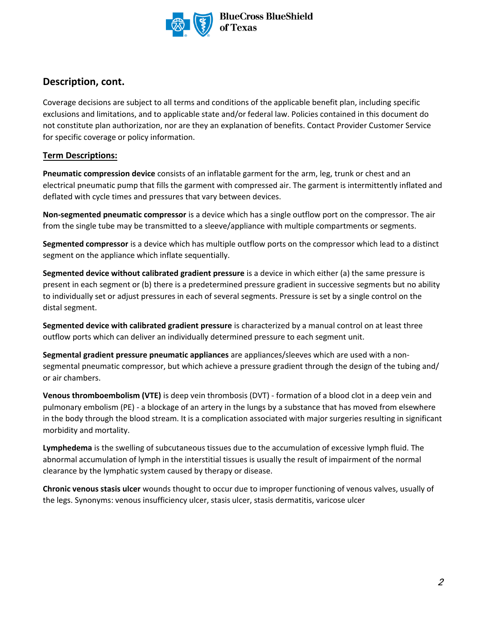

**BlueCross BlueShield** of Texas

# **Description, cont.**

Coverage decisions are subject to all terms and conditions of the applicable benefit plan, including specific exclusions and limitations, and to applicable state and/or federal law. Policies contained in this document do not constitute plan authorization, nor are they an explanation of benefits. Contact Provider Customer Service for specific coverage or policy information.

### **Term Descriptions:**

**Pneumatic compression device** consists of an inflatable garment for the arm, leg, trunk or chest and an electrical pneumatic pump that fills the garment with compressed air. The garment is intermittently inflated and deflated with cycle times and pressures that vary between devices.

**Non-segmented pneumatic compressor** is a device which has a single outflow port on the compressor. The air from the single tube may be transmitted to a sleeve/appliance with multiple compartments or segments.

**Segmented compressor** is a device which has multiple outflow ports on the compressor which lead to a distinct segment on the appliance which inflate sequentially.

**Segmented device without calibrated gradient pressure** is a device in which either (a) the same pressure is present in each segment or (b) there is a predetermined pressure gradient in successive segments but no ability to individually set or adjust pressures in each of several segments. Pressure is set by a single control on the distal segment.

**Segmented device with calibrated gradient pressure** is characterized by a manual control on at least three outflow ports which can deliver an individually determined pressure to each segment unit.

**Segmental gradient pressure pneumatic appliances** are appliances/sleeves which are used with a nonsegmental pneumatic compressor, but which achieve a pressure gradient through the design of the tubing and/ or air chambers.

**Venous thromboembolism (VTE)** is deep vein thrombosis (DVT) - formation of a blood clot in a deep vein and pulmonary embolism (PE) - a blockage of an artery in the lungs by a substance that has moved from elsewhere in the body through the blood stream. It is a complication associated with major surgeries resulting in significant morbidity and mortality.

**Lymphedema** is the swelling of subcutaneous tissues due to the accumulation of excessive lymph fluid. The abnormal accumulation of lymph in the interstitial tissues is usually the result of impairment of the normal clearance by the lymphatic system caused by therapy or disease.

**Chronic venous stasis ulcer** wounds thought to occur due to improper functioning of venous valves, usually of the legs. Synonyms: venous insufficiency ulcer, stasis ulcer, stasis dermatitis, varicose ulcer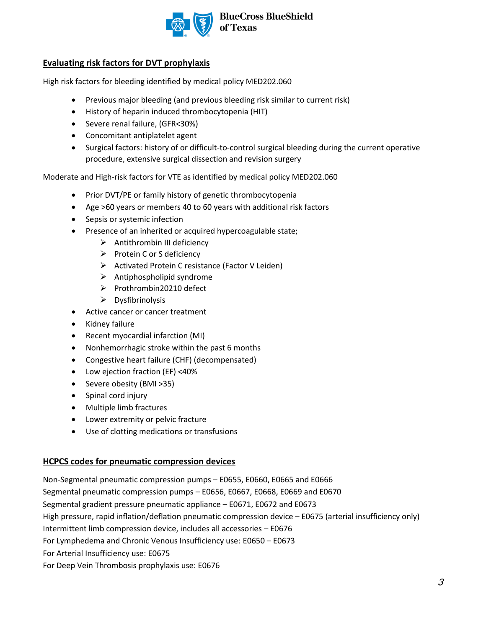

**BlueCross BlueShield** of Texas

### **Evaluating risk factors for DVT prophylaxis**

High risk factors for bleeding identified by medical policy MED202.060

- Previous major bleeding (and previous bleeding risk similar to current risk)
- History of heparin induced thrombocytopenia (HIT)
- Severe renal failure, (GFR<30%)
- Concomitant antiplatelet agent
- Surgical factors: history of or difficult-to-control surgical bleeding during the current operative procedure, extensive surgical dissection and revision surgery

Moderate and High-risk factors for VTE as identified by medical policy MED202.060

- Prior DVT/PE or family history of genetic thrombocytopenia
- Age >60 years or members 40 to 60 years with additional risk factors
- Sepsis or systemic infection
- Presence of an inherited or acquired hypercoagulable state;
	- $\triangleright$  Antithrombin III deficiency
	- ➢ Protein C or S deficiency
	- ➢ Activated Protein C resistance (Factor V Leiden)
	- $\triangleright$  Antiphospholipid syndrome
	- ➢ Prothrombin20210 defect
	- ➢ Dysfibrinolysis
- Active cancer or cancer treatment
- Kidney failure
- Recent myocardial infarction (MI)
- Nonhemorrhagic stroke within the past 6 months
- Congestive heart failure (CHF) (decompensated)
- Low ejection fraction (EF) <40%
- Severe obesity (BMI >35)
- Spinal cord injury
- Multiple limb fractures
- Lower extremity or pelvic fracture
- Use of clotting medications or transfusions

#### **HCPCS codes for pneumatic compression devices**

Non-Segmental pneumatic compression pumps – E0655, E0660, E0665 and E0666 Segmental pneumatic compression pumps – E0656, E0667, E0668, E0669 and E0670 Segmental gradient pressure pneumatic appliance – E0671, E0672 and E0673 High pressure, rapid inflation/deflation pneumatic compression device – E0675 (arterial insufficiency only) Intermittent limb compression device, includes all accessories – E0676 For Lymphedema and Chronic Venous Insufficiency use: E0650 – E0673 For Arterial Insufficiency use: E0675 For Deep Vein Thrombosis prophylaxis use: E0676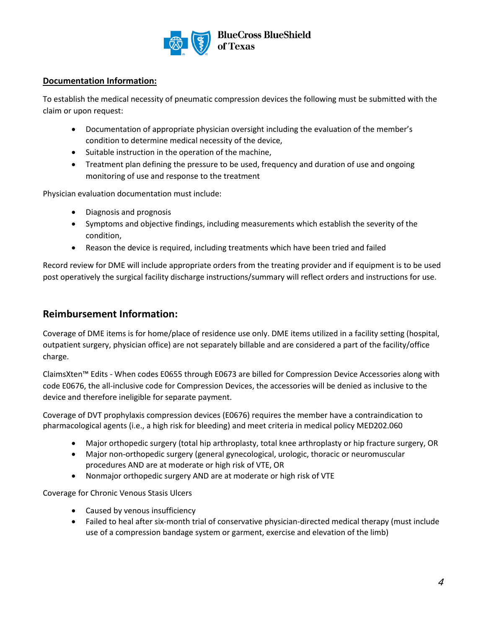

### **Documentation Information:**

To establish the medical necessity of pneumatic compression devices the following must be submitted with the claim or upon request:

- Documentation of appropriate physician oversight including the evaluation of the member's condition to determine medical necessity of the device,
- Suitable instruction in the operation of the machine,
- Treatment plan defining the pressure to be used, frequency and duration of use and ongoing monitoring of use and response to the treatment

Physician evaluation documentation must include:

- Diagnosis and prognosis
- Symptoms and objective findings, including measurements which establish the severity of the condition,
- Reason the device is required, including treatments which have been tried and failed

Record review for DME will include appropriate orders from the treating provider and if equipment is to be used post operatively the surgical facility discharge instructions/summary will reflect orders and instructions for use.

## **Reimbursement Information:**

Coverage of DME items is for home/place of residence use only. DME items utilized in a facility setting (hospital, outpatient surgery, physician office) are not separately billable and are considered a part of the facility/office charge.

ClaimsXten™ Edits - When codes E0655 through E0673 are billed for Compression Device Accessories along with code E0676, the all-inclusive code for Compression Devices, the accessories will be denied as inclusive to the device and therefore ineligible for separate payment.

Coverage of DVT prophylaxis compression devices (E0676) requires the member have a contraindication to pharmacological agents (i.e., a high risk for bleeding) and meet criteria in medical policy MED202.060

- Major orthopedic surgery (total hip arthroplasty, total knee arthroplasty or hip fracture surgery, OR
- Major non-orthopedic surgery (general gynecological, urologic, thoracic or neuromuscular procedures AND are at moderate or high risk of VTE, OR
- Nonmajor orthopedic surgery AND are at moderate or high risk of VTE

Coverage for Chronic Venous Stasis Ulcers

- Caused by venous insufficiency
- Failed to heal after six-month trial of conservative physician-directed medical therapy (must include use of a compression bandage system or garment, exercise and elevation of the limb)